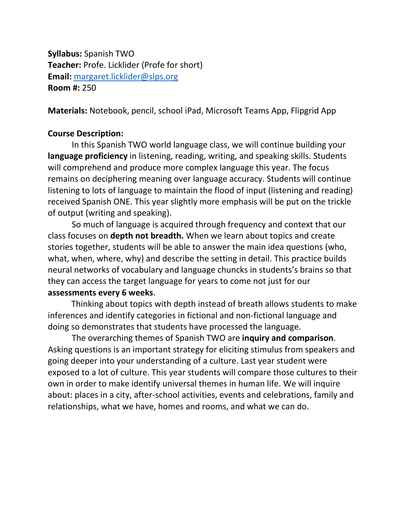**Syllabus:** Spanish TWO **Teacher:** Profe. Licklider (Profe for short) **Email:** [margaret.licklider@slps.org](mailto:margaret.licklider@slps.org) **Room #:** 250

**Materials:** Notebook, pencil, school iPad, Microsoft Teams App, Flipgrid App

### **Course Description:**

In this Spanish TWO world language class, we will continue building your **language proficiency** in listening, reading, writing, and speaking skills. Students will comprehend and produce more complex language this year. The focus remains on deciphering meaning over language accuracy. Students will continue listening to lots of language to maintain the flood of input (listening and reading) received Spanish ONE. This year slightly more emphasis will be put on the trickle of output (writing and speaking).

So much of language is acquired through frequency and context that our class focuses on **depth not breadth.** When we learn about topics and create stories together, students will be able to answer the main idea questions (who, what, when, where, why) and describe the setting in detail. This practice builds neural networks of vocabulary and language chuncks in students's brains so that they can access the target language for years to come not just for our **assessments every 6 weeks**.

Thinking about topics with depth instead of breath allows students to make inferences and identify categories in fictional and non-fictional language and doing so demonstrates that students have processed the language.

The overarching themes of Spanish TWO are **inquiry and comparison**. Asking questions is an important strategy for eliciting stimulus from speakers and going deeper into your understanding of a culture. Last year student were exposed to a lot of culture. This year students will compare those cultures to their own in order to make identify universal themes in human life. We will inquire about: places in a city, after-school activities, events and celebrations, family and relationships, what we have, homes and rooms, and what we can do.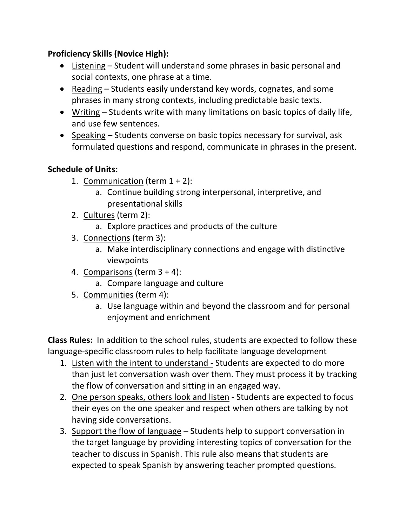# **Proficiency Skills (Novice High):**

- Listening Student will understand some phrases in basic personal and social contexts, one phrase at a time.
- Reading Students easily understand key words, cognates, and some phrases in many strong contexts, including predictable basic texts.
- Writing Students write with many limitations on basic topics of daily life, and use few sentences.
- Speaking Students converse on basic topics necessary for survival, ask formulated questions and respond, communicate in phrases in the present.

# **Schedule of Units:**

- 1. Communication (term  $1 + 2$ ):
	- a. Continue building strong interpersonal, interpretive, and presentational skills
- 2. Cultures (term 2):
	- a. Explore practices and products of the culture
- 3. Connections (term 3):
	- a. Make interdisciplinary connections and engage with distinctive viewpoints
- 4. Comparisons (term 3 + 4):
	- a. Compare language and culture
- 5. Communities (term 4):
	- a. Use language within and beyond the classroom and for personal enjoyment and enrichment

**Class Rules:** In addition to the school rules, students are expected to follow these language-specific classroom rules to help facilitate language development

- 1. Listen with the intent to understand Students are expected to do more than just let conversation wash over them. They must process it by tracking the flow of conversation and sitting in an engaged way.
- 2. One person speaks, others look and listen Students are expected to focus their eyes on the one speaker and respect when others are talking by not having side conversations.
- 3. Support the flow of language Students help to support conversation in the target language by providing interesting topics of conversation for the teacher to discuss in Spanish. This rule also means that students are expected to speak Spanish by answering teacher prompted questions.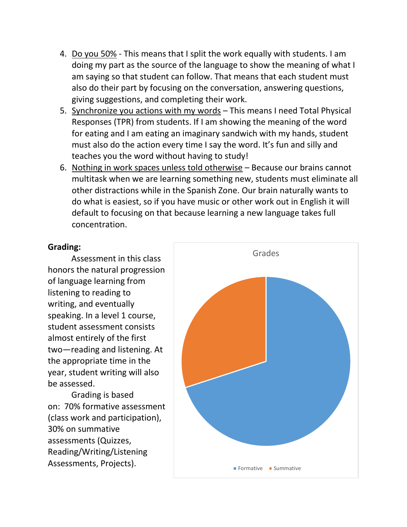- 4. Do you 50% This means that I split the work equally with students. I am doing my part as the source of the language to show the meaning of what I am saying so that student can follow. That means that each student must also do their part by focusing on the conversation, answering questions, giving suggestions, and completing their work.
- 5. Synchronize you actions with my words This means I need Total Physical Responses (TPR) from students. If I am showing the meaning of the word for eating and I am eating an imaginary sandwich with my hands, student must also do the action every time I say the word. It's fun and silly and teaches you the word without having to study!
- 6. Nothing in work spaces unless told otherwise Because our brains cannot multitask when we are learning something new, students must eliminate all other distractions while in the Spanish Zone. Our brain naturally wants to do what is easiest, so if you have music or other work out in English it will default to focusing on that because learning a new language takes full concentration.

### **Grading:**

Assessment in this class honors the natural progression of language learning from listening to reading to writing, and eventually speaking. In a level 1 course. student assessment consists almost entirely of the first two—reading and listening. At the appropriate time in the year, student writing will also be assessed.

Grading is based on: 70% formative assessment (class work and participation), 30% on summative assessments (Quizzes, Reading/Writing/Listening Assessments, Projects).